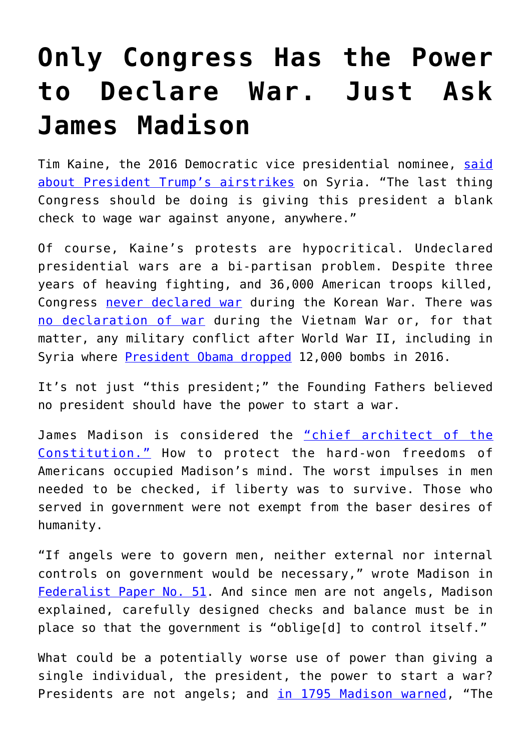## **[Only Congress Has the Power](https://intellectualtakeout.org/2018/04/only-congress-has-the-power-to-declare-war-just-ask-james-madison/) [to Declare War. Just Ask](https://intellectualtakeout.org/2018/04/only-congress-has-the-power-to-declare-war-just-ask-james-madison/) [James Madison](https://intellectualtakeout.org/2018/04/only-congress-has-the-power-to-declare-war-just-ask-james-madison/)**

Tim Kaine, the 2016 Democratic vice presidential nominee, [said](https://www.nbcnews.com/politics/congress/democrats-blast-trump-not-seeking-congressional-approval-syria-strike-n865981) [about President Trump's airstrikes](https://www.nbcnews.com/politics/congress/democrats-blast-trump-not-seeking-congressional-approval-syria-strike-n865981) on Syria. "The last thing Congress should be doing is giving this president a blank check to wage war against anyone, anywhere."

Of course, Kaine's protests are hypocritical. Undeclared presidential wars are a bi-partisan problem. Despite three years of heaving fighting, and 36,000 American troops killed, Congress [never declared war](https://www.history.com/news/8-things-you-should-know-about-the-korean-war) during the Korean War. There was [no declaration of war](http://time.com/3399479/war-powers-bush-obama/) during the Vietnam War or, for that matter, any military conflict after World War II, including in Syria where [President Obama dropped](https://www.thenation.com/article/what-is-it-with-us-presidents-and-tomahawk-cruise-missile-strikes/) 12,000 bombs in 2016.

It's not just "this president;" the Founding Fathers believed no president should have the power to start a war.

James Madison is considered the ["chief architect of the](https://www.libertarianism.org/publications/essays/written-constitution-biography-james-madison) [Constitution."](https://www.libertarianism.org/publications/essays/written-constitution-biography-james-madison) How to protect the hard-won freedoms of Americans occupied Madison's mind. The worst impulses in men needed to be checked, if liberty was to survive. Those who served in government were not exempt from the baser desires of humanity.

"If angels were to govern men, neither external nor internal controls on government would be necessary," wrote Madison in [Federalist Paper No. 51.](http://avalon.law.yale.edu/18th_century/fed51.asp) And since men are not angels, Madison explained, carefully designed checks and balance must be in place so that the government is "oblige[d] to control itself."

What could be a potentially worse use of power than giving a single individual, the president, the power to start a war? Presidents are not angels; and [in 1795 Madison warned](http://reclaimdemocracy.org/madison_perpetual_war/), "The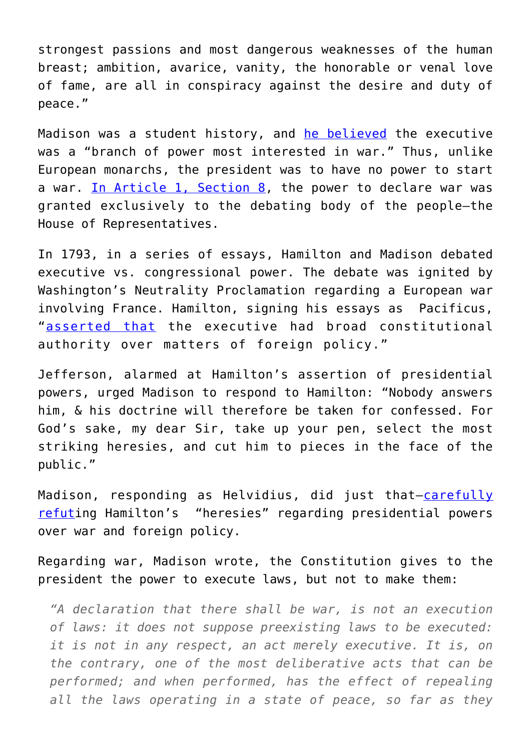strongest passions and most dangerous weaknesses of the human breast; ambition, avarice, vanity, the honorable or venal love of fame, are all in conspiracy against the desire and duty of peace."

Madison was a student history, and [he believed](http://press-pubs.uchicago.edu/founders/documents/a1_8_11s8.html) the executive was a "branch of power most interested in war." Thus, unlike European monarchs, the president was to have no power to start a war. [In Article 1, Section 8,](http://press-pubs.uchicago.edu/founders/tocs/a1_8_11.html) the power to declare war was granted exclusively to the debating body of the people—the House of Representatives.

In 1793, in a series of essays, Hamilton and Madison debated executive vs. congressional power. The debate was ignited by Washington's Neutrality Proclamation regarding a European war involving France. Hamilton, signing his essays as Pacificus, "[asserted that](http://www.claremont.org/crb/basicpage/the-pacificus-helvidius-debates/) the executive had broad constitutional authority over matters of foreign policy."

Jefferson, alarmed at Hamilton's assertion of presidential powers, urged Madison to respond to Hamilton: "Nobody answers him, & his doctrine will therefore be taken for confessed. For God's sake, my dear Sir, take up your pen, select the most striking heresies, and cut him to pieces in the face of the public."

Madison, responding as Helvidius, did just that-[carefully](http://files.libertyfund.org/pll/pdf/Hamilton_3953_EBk_v7.0.pdf) [refuti](http://files.libertyfund.org/pll/pdf/Hamilton_3953_EBk_v7.0.pdf)ng Hamilton's "heresies" regarding presidential powers over war and foreign policy.

Regarding war, Madison wrote, the Constitution gives to the president the power to execute laws, but not to make them:

*"A declaration that there shall be war, is not an execution of laws: it does not suppose preexisting laws to be executed: it is not in any respect, an act merely executive. It is, on the contrary, one of the most deliberative acts that can be performed; and when performed, has the effect of repealing all the laws operating in a state of peace, so far as they*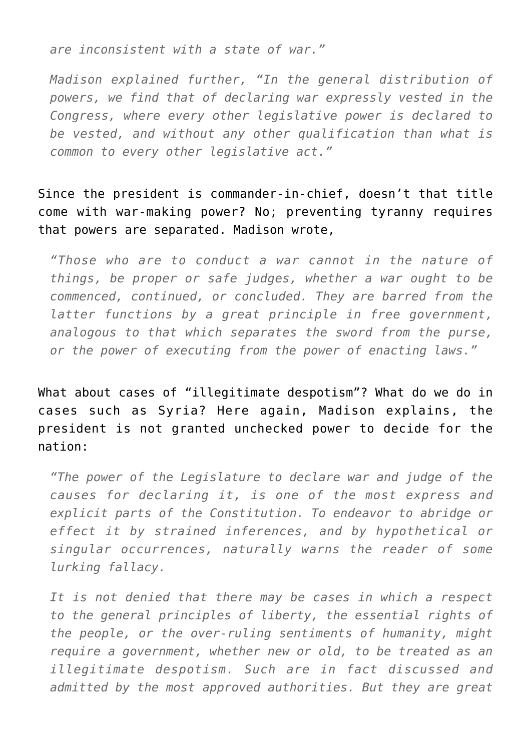*are inconsistent with a state of war."*

*Madison explained further, "In the general distribution of powers, we find that of declaring war expressly vested in the Congress, where every other legislative power is declared to be vested, and without any other qualification than what is common to every other legislative act."*

Since the president is commander-in-chief, doesn't that title come with war-making power? No; preventing tyranny requires that powers are separated. Madison wrote,

*"Those who are to conduct a war cannot in the nature of things, be proper or safe judges, whether a war ought to be commenced, continued, or concluded. They are barred from the latter functions by a great principle in free government, analogous to that which separates the sword from the purse, or the power of executing from the power of enacting laws."*

What about cases of "illegitimate despotism"? What do we do in cases such as Syria? Here again, Madison explains, the president is not granted unchecked power to decide for the nation:

*"The power of the Legislature to declare war and judge of the causes for declaring it, is one of the most express and explicit parts of the Constitution. To endeavor to abridge or effect it by strained inferences, and by hypothetical or singular occurrences, naturally warns the reader of some lurking fallacy.*

*It is not denied that there may be cases in which a respect to the general principles of liberty, the essential rights of the people, or the over-ruling sentiments of humanity, might require a government, whether new or old, to be treated as an illegitimate despotism. Such are in fact discussed and admitted by the most approved authorities. But they are great*